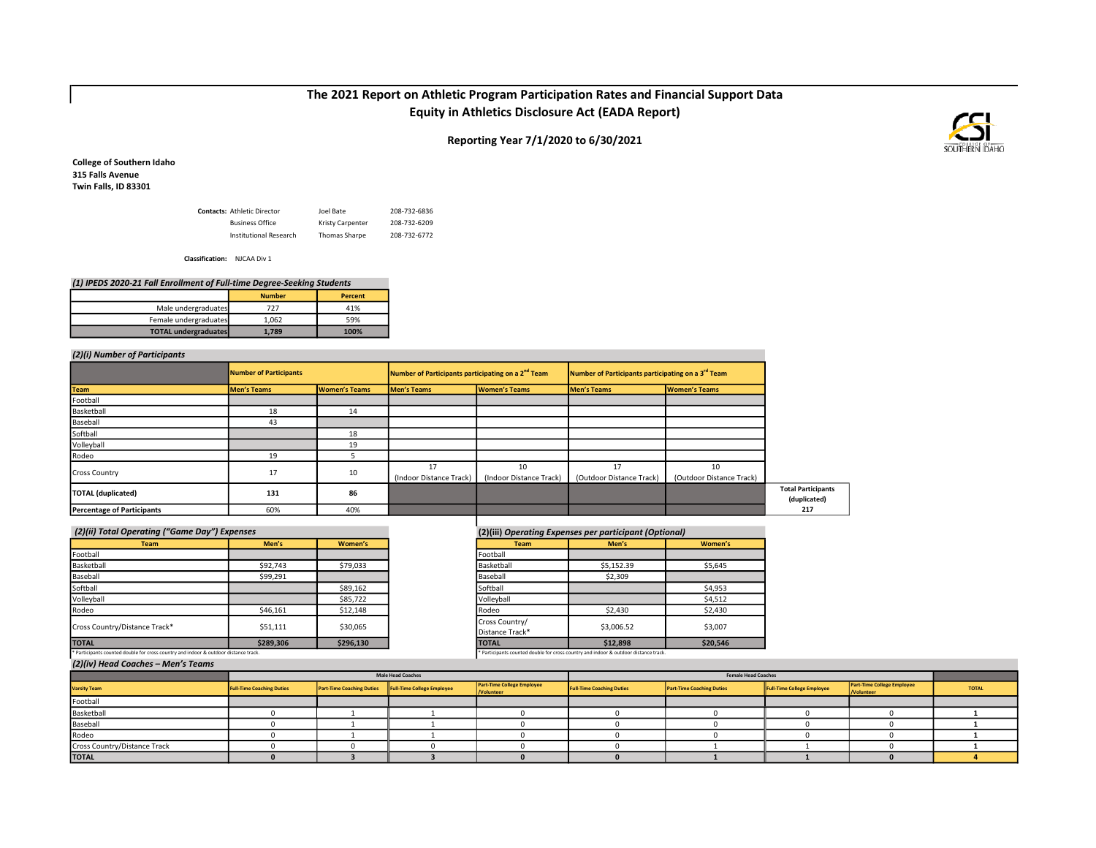# The 2021 Report on Athletic Program Participation Rates and Financial Support Data Equity in Athletics Disclosure Act (EADA Report)

Reporting Year 7/1/2020 to 6/30/2021



College of Southern Idaho 315 Falls Avenue Twin Falls, ID 83301

| <b>Contacts: Athletic Director</b> | Joel Bate        | 208-732-6836 |
|------------------------------------|------------------|--------------|
| <b>Business Office</b>             | Kristy Carpenter | 208-732-6209 |
| Institutional Research             | Thomas Sharpe    | 208-732-6772 |

Classification: NJCAA Div 1

| (1) IPEDS 2020-21 Fall Enrollment of Full-time Degree-Seeking Students |       |      |  |  |  |  |  |
|------------------------------------------------------------------------|-------|------|--|--|--|--|--|
| <b>Number</b><br>Percent                                               |       |      |  |  |  |  |  |
| Male undergraduates                                                    | 727   | 41%  |  |  |  |  |  |
| Female undergraduates                                                  | 1.062 | 59%  |  |  |  |  |  |
| <b>TOTAL undergraduates</b>                                            | 1.789 | 100% |  |  |  |  |  |

## (2)(i) Number of Participants

|                                   | <b>Number of Participants</b> | Number of Participants participating on a 2 <sup>nd</sup> Team<br>Number of Participants participating on a 3 <sup>rd</sup> Team |                         |                         |                          |                          |
|-----------------------------------|-------------------------------|----------------------------------------------------------------------------------------------------------------------------------|-------------------------|-------------------------|--------------------------|--------------------------|
| <b>Team</b>                       | <b>Men's Teams</b>            | Women's Teams                                                                                                                    | <b>Men's Teams</b>      | Women's Teams           | <b>Men's Teams</b>       | Women's Teams            |
| Football                          |                               |                                                                                                                                  |                         |                         |                          |                          |
| Basketball                        | 18                            | 14                                                                                                                               |                         |                         |                          |                          |
| Baseball                          | 43                            |                                                                                                                                  |                         |                         |                          |                          |
| Softball                          |                               | 18                                                                                                                               |                         |                         |                          |                          |
| Volleyball                        |                               | 19                                                                                                                               |                         |                         |                          |                          |
| Rodeo                             | 19                            |                                                                                                                                  |                         |                         |                          |                          |
|                                   |                               | 10                                                                                                                               | 17                      | 10                      | 17                       | 10                       |
| <b>Cross Country</b>              | 17                            |                                                                                                                                  | (Indoor Distance Track) | (Indoor Distance Track) | (Outdoor Distance Track) | (Outdoor Distance Track) |
| TOTAL (duplicated)                | 131                           | 86                                                                                                                               |                         |                         |                          |                          |
| <b>Percentage of Participants</b> | 60%                           | 40%                                                                                                                              |                         |                         |                          |                          |

| <b>Team</b>                   | Men's     | Women's   |
|-------------------------------|-----------|-----------|
| Football                      |           |           |
| Basketball                    | \$92,743  | \$79,033  |
| Baseball                      | \$99,291  |           |
| Softball                      |           | \$89,162  |
| Volleyball                    |           | \$85,722  |
| Rodeo                         | \$46,161  | \$12,148  |
| Cross Country/Distance Track* | \$51,111  | \$30,065  |
| <b>TOTAL</b>                  | \$289,306 | \$296,130 |

## (2)(ii) Total Operating ("Game Day") Expenses (2)(iii) Operating Expenses per participant (Optional)

| <b>Team</b>                                                                          | Men's     | Women's   |
|--------------------------------------------------------------------------------------|-----------|-----------|
| Football                                                                             |           |           |
| Basketball                                                                           | \$92,743  | \$79,033  |
| Baseball                                                                             | \$99,291  |           |
| Softball                                                                             |           | \$89,162  |
| Volleyball                                                                           |           | \$85,722  |
| Rodeo                                                                                | \$46,161  | \$12,148  |
| Cross Country/Distance Track*                                                        | \$51,111  | \$30,065  |
| <b>TOTAL</b>                                                                         | \$289,306 | \$296,130 |
| * Participants counted double for cross country and indoor & outdoor distance track. |           |           |

#### (2)(iv) Head Coaches – Men's Teams

| $\blacksquare$<br>________   |                                  |                                  |                            |                                                 |                                  |                                  |                            |                                                       |              |
|------------------------------|----------------------------------|----------------------------------|----------------------------|-------------------------------------------------|----------------------------------|----------------------------------|----------------------------|-------------------------------------------------------|--------------|
|                              | <b>Male Head Coaches</b>         |                                  |                            | <b>Female Head Coaches</b>                      |                                  |                                  |                            |                                                       |              |
| <b>Varsity Team</b>          | <b>Full-Time Coaching Duties</b> | <b>Part-Time Coaching Duties</b> | Full-Time College Employee | <b>Part-Time College Employee</b><br>/Volunteer | <b>Full-Time Coaching Duties</b> | <b>Part-Time Coaching Duties</b> | Full-Time College Employee | <b>Part-Time College Employee</b><br><b>Nolunteer</b> | <b>TOTAL</b> |
| Football                     |                                  |                                  |                            |                                                 |                                  |                                  |                            |                                                       |              |
| Basketball                   |                                  |                                  |                            |                                                 |                                  |                                  |                            |                                                       |              |
| Baseball                     |                                  |                                  |                            |                                                 |                                  |                                  |                            |                                                       |              |
| Rodeo                        |                                  |                                  |                            |                                                 |                                  |                                  |                            |                                                       |              |
| Cross Country/Distance Track |                                  |                                  |                            |                                                 |                                  |                                  |                            |                                                       |              |
| <b>TOTAL</b>                 |                                  |                                  |                            |                                                 |                                  |                                  |                            |                                                       |              |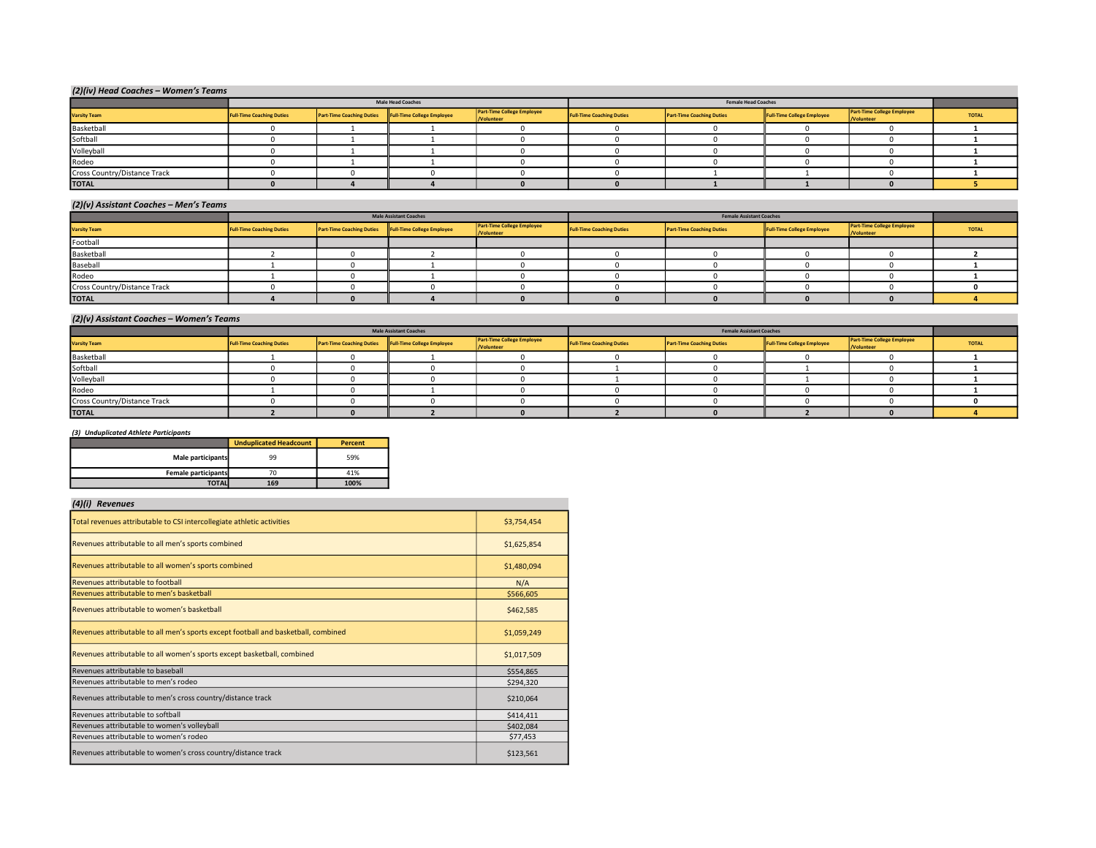| (2)(iv) Head Coaches - Women's Teams |                                  |                                  |                            |                                                 |                                  |                                  |                                   |                                                 |              |
|--------------------------------------|----------------------------------|----------------------------------|----------------------------|-------------------------------------------------|----------------------------------|----------------------------------|-----------------------------------|-------------------------------------------------|--------------|
|                                      |                                  |                                  | <b>Male Head Coaches</b>   |                                                 |                                  | <b>Female Head Coaches</b>       |                                   |                                                 |              |
| <b>Varsity Team</b>                  | <b>Full-Time Coaching Duties</b> | <b>Part-Time Coaching Duties</b> | Full-Time College Employee | <b>Part-Time College Employee</b><br>/Volunteer | <b>Full-Time Coaching Duties</b> | <b>Part-Time Coaching Duties</b> | <b>Full-Time College Employee</b> | <b>Part-Time College Employee</b><br>/Volunteer | <b>TOTAL</b> |
| Basketball                           |                                  |                                  |                            |                                                 |                                  |                                  |                                   |                                                 |              |
| Softball                             |                                  |                                  |                            |                                                 |                                  |                                  |                                   |                                                 |              |
| Volleyball                           |                                  |                                  |                            |                                                 |                                  |                                  |                                   |                                                 |              |
| Rodeo                                |                                  |                                  |                            |                                                 |                                  |                                  |                                   |                                                 |              |
| Cross Country/Distance Track         |                                  |                                  |                            |                                                 |                                  |                                  |                                   |                                                 |              |
| <b>TOTAL</b>                         |                                  |                                  |                            |                                                 |                                  |                                  |                                   |                                                 |              |

#### (2)(v) Assistant Coaches – Men's Teams

| .                            |                                  |                                  |                               |                                          |                                  |                                  |                            |                                                 |              |
|------------------------------|----------------------------------|----------------------------------|-------------------------------|------------------------------------------|----------------------------------|----------------------------------|----------------------------|-------------------------------------------------|--------------|
|                              |                                  |                                  | <b>Male Assistant Coaches</b> |                                          | <b>Female Assistant Coaches</b>  |                                  |                            |                                                 |              |
| <b>Varsity Team</b>          | <b>Full-Time Coaching Duties</b> | <b>Part-Time Coaching Duties</b> | Full-Time College Employee    | Part Time College Employee<br>/Volunteer | <b>Full-Time Coaching Duties</b> | <b>Part-Time Coaching Duties</b> | Full-Time College Employee | <b>Part-Time College Employee</b><br>/Volunteer | <b>TOTAL</b> |
| Football                     |                                  |                                  |                               |                                          |                                  |                                  |                            |                                                 |              |
| Basketball                   |                                  |                                  |                               |                                          |                                  |                                  |                            |                                                 |              |
| Baseball                     |                                  |                                  |                               |                                          |                                  |                                  |                            |                                                 |              |
| Rodeo                        |                                  |                                  |                               |                                          |                                  |                                  |                            |                                                 |              |
| Cross Country/Distance Track |                                  |                                  |                               |                                          |                                  |                                  |                            |                                                 |              |
| <b>TOTAL</b>                 |                                  |                                  |                               |                                          |                                  |                                  |                            |                                                 |              |

#### (2)(v) Assistant Coaches – Women's Teams

|                              | <b>Male Assistant Coaches</b>    |                                  |                            | <b>Female Assistant Coaches</b>          |                                  |                                  |                            |                                                 |              |
|------------------------------|----------------------------------|----------------------------------|----------------------------|------------------------------------------|----------------------------------|----------------------------------|----------------------------|-------------------------------------------------|--------------|
| <b>Varsity Team</b>          | <b>Full-Time Coaching Duties</b> | <b>Part-Time Coaching Duties</b> | Full-Time College Employee | Part-Time College Employee<br>/Volunteer | <b>Full-Time Coaching Duties</b> | <b>Part-Time Coaching Duties</b> | Full-Time College Employee | <b>Part-Time College Employee</b><br>/Volunteer | <b>TOTAL</b> |
| Basketball                   |                                  |                                  |                            |                                          |                                  |                                  |                            |                                                 |              |
| Softball                     |                                  |                                  |                            |                                          |                                  |                                  |                            |                                                 |              |
| Volleyball                   |                                  |                                  |                            |                                          |                                  |                                  |                            |                                                 |              |
| Rodeo                        |                                  |                                  |                            |                                          |                                  |                                  |                            |                                                 |              |
| Cross Country/Distance Track |                                  |                                  |                            |                                          |                                  |                                  |                            |                                                 |              |
| <b>TOTAL</b>                 |                                  |                                  |                            |                                          |                                  |                                  |                            |                                                 |              |

#### (3) Unduplicated Athlete Participants

|                     | <b>Unduplicated Headcount</b> | <b>Percent</b> |
|---------------------|-------------------------------|----------------|
| Male participants   | 99                            | 59%            |
| Female participants |                               | 41%            |
| <b>TOTAL</b>        | 169                           | 100%           |

## (4)(i) Revenues

| Total revenues attributable to CSI intercollegiate athletic activities             | \$3,754,454 |
|------------------------------------------------------------------------------------|-------------|
| Revenues attributable to all men's sports combined                                 | \$1,625,854 |
| Revenues attributable to all women's sports combined                               | \$1,480,094 |
| Revenues attributable to football                                                  | N/A         |
| Revenues attributable to men's basketball                                          | \$566,605   |
| Revenues attributable to women's basketball                                        | \$462,585   |
| Revenues attributable to all men's sports except football and basketball, combined | \$1,059,249 |
| Revenues attributable to all women's sports except basketball, combined            | \$1,017,509 |
| Revenues attributable to baseball                                                  | \$554,865   |
| Revenues attributable to men's rodeo                                               | \$294,320   |
| Revenues attributable to men's cross country/distance track                        | \$210,064   |
| Revenues attributable to softball                                                  | \$414,411   |
| Revenues attributable to women's volleyball                                        | \$402,084   |
| Revenues attributable to women's rodeo                                             | \$77,453    |
| Revenues attributable to women's cross country/distance track                      | \$123,561   |